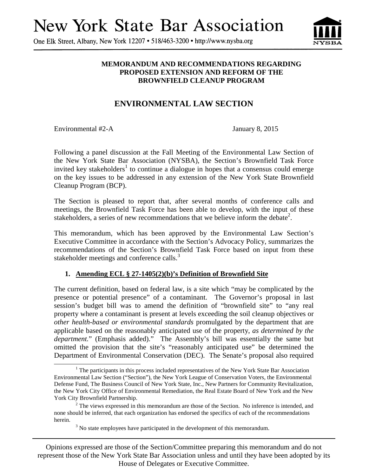# **New York State Bar Association**

One Elk Street, Albany, New York 12207 • 518/463-3200 • http://www.nysba.org



### **MEMORANDUM AND RECOMMENDATIONS REGARDING PROPOSED EXTENSION AND REFORM OF THE BROWNFIELD CLEANUP PROGRAM**

# **ENVIRONMENTAL LAW SECTION**

Environmental #2-A January 8, 2015

-

Following a panel discussion at the Fall Meeting of the Environmental Law Section of the New York State Bar Association (NYSBA), the Section's Brownfield Task Force invited key stakeholders<sup>1</sup> to continue a dialogue in hopes that a consensus could emerge on the key issues to be addressed in any extension of the New York State Brownfield Cleanup Program (BCP).

The Section is pleased to report that, after several months of conference calls and meetings, the Brownfield Task Force has been able to develop, with the input of these stakeholders, a series of new recommendations that we believe inform the debate<sup>2</sup>.

This memorandum, which has been approved by the Environmental Law Section's Executive Committee in accordance with the Section's Advocacy Policy, summarizes the recommendations of the Section's Brownfield Task Force based on input from these stakeholder meetings and conference calls.<sup>3</sup>

## **1. Amending ECL § 27-1405(2)(b)'s Definition of Brownfield Site**

The current definition, based on federal law, is a site which "may be complicated by the presence or potential presence" of a contaminant. The Governor's proposal in last session's budget bill was to amend the definition of "brownfield site" to "any real property where a contaminant is present at levels exceeding the soil cleanup objectives or *other health-based or environmental standards* promulgated by the department that are applicable based on the reasonably anticipated use of the property, *as determined by the department.*" (Emphasis added)." The Assembly's bill was essentially the same but omitted the provision that the site's "reasonably anticipated use" be determined the Department of Environmental Conservation (DEC). The Senate's proposal also required

Opinions expressed are those of the Section/Committee preparing this memorandum and do not represent those of the New York State Bar Association unless and until they have been adopted by its House of Delegates or Executive Committee.

<sup>&</sup>lt;sup>1</sup> The participants in this process included representatives of the New York State Bar Association Environmental Law Section ("Section"), the New York League of Conservation Voters, the Environmental Defense Fund, The Business Council of New York State, Inc., New Partners for Community Revitalization, the New York City Office of Environmental Remediation, the Real Estate Board of New York and the New York City Brownfield Partnership.

 $2^2$  The views expressed in this memorandum are those of the Section. No inference is intended, and none should be inferred, that each organization has endorsed the specifics of each of the recommendations herein.

 $3$  No state employees have participated in the development of this memorandum.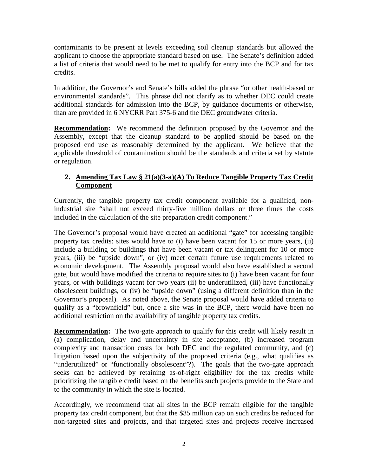contaminants to be present at levels exceeding soil cleanup standards but allowed the applicant to choose the appropriate standard based on use. The Senate's definition added a list of criteria that would need to be met to qualify for entry into the BCP and for tax credits.

In addition, the Governor's and Senate's bills added the phrase "or other health-based or environmental standards". This phrase did not clarify as to whether DEC could create additional standards for admission into the BCP, by guidance documents or otherwise, than are provided in 6 NYCRR Part 375-6 and the DEC groundwater criteria.

**Recommendation:** We recommend the definition proposed by the Governor and the Assembly, except that the cleanup standard to be applied should be based on the proposed end use as reasonably determined by the applicant. We believe that the applicable threshold of contamination should be the standards and criteria set by statute or regulation.

## **2. Amending Tax Law § 21(a)(3-a)(A) To Reduce Tangible Property Tax Credit Component**

Currently, the tangible property tax credit component available for a qualified, nonindustrial site "shall not exceed thirty-five million dollars or three times the costs included in the calculation of the site preparation credit component."

The Governor's proposal would have created an additional "gate" for accessing tangible property tax credits: sites would have to (i) have been vacant for 15 or more years, (ii) include a building or buildings that have been vacant or tax delinquent for 10 or more years, (iii) be "upside down", or (iv) meet certain future use requirements related to economic development. The Assembly proposal would also have established a second gate, but would have modified the criteria to require sites to (i) have been vacant for four years, or with buildings vacant for two years (ii) be underutilized, (iii) have functionally obsolescent buildings, or (iv) be "upside down" (using a different definition than in the Governor's proposal). As noted above, the Senate proposal would have added criteria to qualify as a "brownfield" but, once a site was in the BCP, there would have been no additional restriction on the availability of tangible property tax credits.

**Recommendation:** The two-gate approach to qualify for this credit will likely result in (a) complication, delay and uncertainty in site acceptance, (b) increased program complexity and transaction costs for both DEC and the regulated community, and (c) litigation based upon the subjectivity of the proposed criteria (e.g., what qualifies as "underutilized" or "functionally obsolescent"?). The goals that the two-gate approach seeks can be achieved by retaining as-of-right eligibility for the tax credits while prioritizing the tangible credit based on the benefits such projects provide to the State and to the community in which the site is located.

Accordingly, we recommend that all sites in the BCP remain eligible for the tangible property tax credit component, but that the \$35 million cap on such credits be reduced for non-targeted sites and projects, and that targeted sites and projects receive increased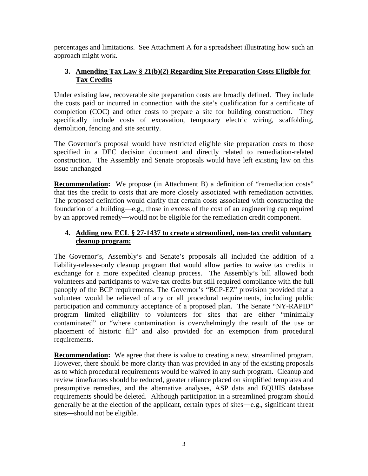percentages and limitations. See Attachment A for a spreadsheet illustrating how such an approach might work.

## **3. Amending Tax Law § 21(b)(2) Regarding Site Preparation Costs Eligible for Tax Credits**

Under existing law, recoverable site preparation costs are broadly defined. They include the costs paid or incurred in connection with the site's qualification for a certificate of completion (COC) and other costs to prepare a site for building construction. They specifically include costs of excavation, temporary electric wiring, scaffolding, demolition, fencing and site security.

The Governor's proposal would have restricted eligible site preparation costs to those specified in a DEC decision document and directly related to remediation-related construction. The Assembly and Senate proposals would have left existing law on this issue unchanged

**Recommendation:** We propose (in Attachment B) a definition of "remediation costs" that ties the credit to costs that are more closely associated with remediation activities. The proposed definition would clarify that certain costs associated with constructing the foundation of a building―e.g., those in excess of the cost of an engineering cap required by an approved remedy―would not be eligible for the remediation credit component.

## **4. Adding new ECL § 27-1437 to create a streamlined, non-tax credit voluntary cleanup program:**

The Governor's, Assembly's and Senate's proposals all included the addition of a liability-release-only cleanup program that would allow parties to waive tax credits in exchange for a more expedited cleanup process. The Assembly's bill allowed both volunteers and participants to waive tax credits but still required compliance with the full panoply of the BCP requirements. The Governor's "BCP-EZ" provision provided that a volunteer would be relieved of any or all procedural requirements, including public participation and community acceptance of a proposed plan. The Senate "NY-RAPID" program limited eligibility to volunteers for sites that are either "minimally contaminated" or "where contamination is overwhelmingly the result of the use or placement of historic fill" and also provided for an exemption from procedural requirements.

**Recommendation:** We agree that there is value to creating a new, streamlined program. However, there should be more clarity than was provided in any of the existing proposals as to which procedural requirements would be waived in any such program. Cleanup and review timeframes should be reduced, greater reliance placed on simplified templates and presumptive remedies, and the alternative analyses, ASP data and EQUIIS database requirements should be deleted. Although participation in a streamlined program should generally be at the election of the applicant, certain types of sites―e.g., significant threat sites―should not be eligible.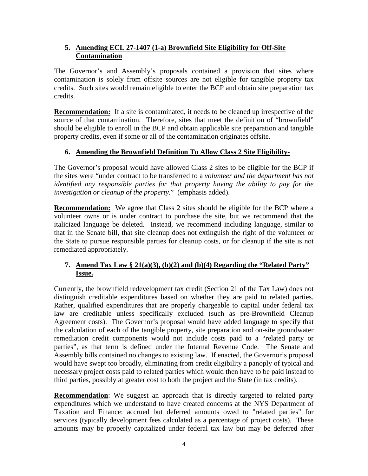## **5. Amending ECL 27-1407 (1-a) Brownfield Site Eligibility for Off-Site Contamination**

The Governor's and Assembly's proposals contained a provision that sites where contamination is solely from offsite sources are not eligible for tangible property tax credits. Such sites would remain eligible to enter the BCP and obtain site preparation tax credits.

**Recommendation:** If a site is contaminated, it needs to be cleaned up irrespective of the source of that contamination. Therefore, sites that meet the definition of "brownfield" should be eligible to enroll in the BCP and obtain applicable site preparation and tangible property credits, even if some or all of the contamination originates offsite.

## **6. Amending the Brownfield Definition To Allow Class 2 Site Eligibility-**

The Governor's proposal would have allowed Class 2 sites to be eligible for the BCP if the sites were "under contract to be transferred to a *volunteer and the department has not identified any responsible parties for that property having the ability to pay for the investigation or cleanup of the property*." (emphasis added).

**Recommendation:** We agree that Class 2 sites should be eligible for the BCP where a volunteer owns or is under contract to purchase the site, but we recommend that the italicized language be deleted. Instead, we recommend including language, similar to that in the Senate bill, that site cleanup does not extinguish the right of the volunteer or the State to pursue responsible parties for cleanup costs, or for cleanup if the site is not remediated appropriately.

# **7. Amend Tax Law § 21(a)(3), (b)(2) and (b)(4) Regarding the "Related Party" Issue.**

Currently, the brownfield redevelopment tax credit (Section 21 of the Tax Law) does not distinguish creditable expenditures based on whether they are paid to related parties. Rather, qualified expenditures that are properly chargeable to capital under federal tax law are creditable unless specifically excluded (such as pre-Brownfield Cleanup Agreement costs). The Governor's proposal would have added language to specify that the calculation of each of the tangible property, site preparation and on-site groundwater remediation credit components would not include costs paid to a "related party or parties", as that term is defined under the Internal Revenue Code. The Senate and Assembly bills contained no changes to existing law. If enacted, the Governor's proposal would have swept too broadly, eliminating from credit eligibility a panoply of typical and necessary project costs paid to related parties which would then have to be paid instead to third parties, possibly at greater cost to both the project and the State (in tax credits).

**Recommendation**: We suggest an approach that is directly targeted to related party expenditures which we understand to have created concerns at the NYS Department of Taxation and Finance: accrued but deferred amounts owed to "related parties" for services (typically development fees calculated as a percentage of project costs). These amounts may be properly capitalized under federal tax law but may be deferred after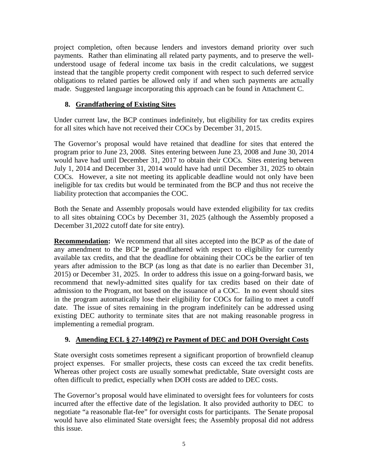project completion, often because lenders and investors demand priority over such payments. Rather than eliminating all related party payments, and to preserve the wellunderstood usage of federal income tax basis in the credit calculations, we suggest instead that the tangible property credit component with respect to such deferred service obligations to related parties be allowed only if and when such payments are actually made. Suggested language incorporating this approach can be found in Attachment C.

## **8. Grandfathering of Existing Sites**

Under current law, the BCP continues indefinitely, but eligibility for tax credits expires for all sites which have not received their COCs by December 31, 2015.

The Governor's proposal would have retained that deadline for sites that entered the program prior to June 23, 2008. Sites entering between June 23, 2008 and June 30, 2014 would have had until December 31, 2017 to obtain their COCs. Sites entering between July 1, 2014 and December 31, 2014 would have had until December 31, 2025 to obtain COCs. However, a site not meeting its applicable deadline would not only have been ineligible for tax credits but would be terminated from the BCP and thus not receive the liability protection that accompanies the COC.

Both the Senate and Assembly proposals would have extended eligibility for tax credits to all sites obtaining COCs by December 31, 2025 (although the Assembly proposed a December 31,2022 cutoff date for site entry).

**Recommendation:** We recommend that all sites accepted into the BCP as of the date of any amendment to the BCP be grandfathered with respect to eligibility for currently available tax credits, and that the deadline for obtaining their COCs be the earlier of ten years after admission to the BCP (as long as that date is no earlier than December 31, 2015) or December 31, 2025. In order to address this issue on a going-forward basis, we recommend that newly-admitted sites qualify for tax credits based on their date of admission to the Program, not based on the issuance of a COC. In no event should sites in the program automatically lose their eligibility for COCs for failing to meet a cutoff date. The issue of sites remaining in the program indefinitely can be addressed using existing DEC authority to terminate sites that are not making reasonable progress in implementing a remedial program.

## **9. Amending ECL § 27-1409(2) re Payment of DEC and DOH Oversight Costs**

State oversight costs sometimes represent a significant proportion of brownfield cleanup project expenses. For smaller projects, these costs can exceed the tax credit benefits. Whereas other project costs are usually somewhat predictable, State oversight costs are often difficult to predict, especially when DOH costs are added to DEC costs.

The Governor's proposal would have eliminated to oversight fees for volunteers for costs incurred after the effective date of the legislation. It also provided authority to DEC to negotiate "a reasonable flat-fee" for oversight costs for participants. The Senate proposal would have also eliminated State oversight fees; the Assembly proposal did not address this issue.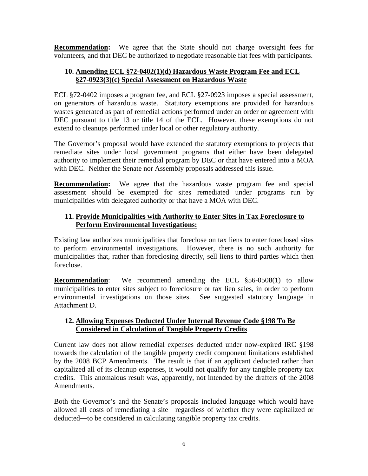**Recommendation:** We agree that the State should not charge oversight fees for volunteers, and that DEC be authorized to negotiate reasonable flat fees with participants.

#### **10. Amending ECL §72-0402(1)(d) Hazardous Waste Program Fee and ECL §27-0923(3)(c) Special Assessment on Hazardous Waste**

ECL §72-0402 imposes a program fee, and ECL §27-0923 imposes a special assessment, on generators of hazardous waste. Statutory exemptions are provided for hazardous wastes generated as part of remedial actions performed under an order or agreement with DEC pursuant to title 13 or title 14 of the ECL. However, these exemptions do not extend to cleanups performed under local or other regulatory authority.

The Governor's proposal would have extended the statutory exemptions to projects that remediate sites under local government programs that either have been delegated authority to implement their remedial program by DEC or that have entered into a MOA with DEC. Neither the Senate nor Assembly proposals addressed this issue.

**Recommendation:** We agree that the hazardous waste program fee and special assessment should be exempted for sites remediated under programs run by municipalities with delegated authority or that have a MOA with DEC.

## **11. Provide Municipalities with Authority to Enter Sites in Tax Foreclosure to Perform Environmental Investigations:**

Existing law authorizes municipalities that foreclose on tax liens to enter foreclosed sites to perform environmental investigations. However, there is no such authority for municipalities that, rather than foreclosing directly, sell liens to third parties which then foreclose.

**Recommendation:** We recommend amending the ECL §56-0508(1) to allow municipalities to enter sites subject to foreclosure or tax lien sales, in order to perform environmental investigations on those sites. See suggested statutory language in Attachment D.

## **12. Allowing Expenses Deducted Under Internal Revenue Code §198 To Be Considered in Calculation of Tangible Property Credits**

Current law does not allow remedial expenses deducted under now-expired IRC §198 towards the calculation of the tangible property credit component limitations established by the 2008 BCP Amendments. The result is that if an applicant deducted rather than capitalized all of its cleanup expenses, it would not qualify for any tangible property tax credits. This anomalous result was, apparently, not intended by the drafters of the 2008 Amendments.

Both the Governor's and the Senate's proposals included language which would have allowed all costs of remediating a site―regardless of whether they were capitalized or deducted―to be considered in calculating tangible property tax credits.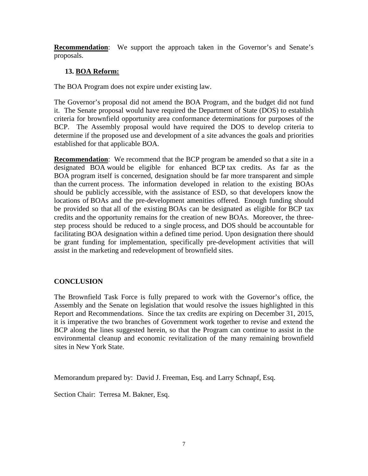**Recommendation**: We support the approach taken in the Governor's and Senate's proposals.

## **13. BOA Reform:**

The BOA Program does not expire under existing law.

The Governor's proposal did not amend the BOA Program, and the budget did not fund it. The Senate proposal would have required the Department of State (DOS) to establish criteria for brownfield opportunity area conformance determinations for purposes of the BCP. The Assembly proposal would have required the DOS to develop criteria to determine if the proposed use and development of a site advances the goals and priorities established for that applicable BOA.

**Recommendation:** We recommend that the BCP program be amended so that a site in a designated BOA would be eligible for enhanced BCP tax credits. As far as the BOA program itself is concerned, designation should be far more transparent and simple than the current process. The information developed in relation to the existing BOAs should be publicly accessible, with the assistance of ESD, so that developers know the locations of BOAs and the pre-development amenities offered. Enough funding should be provided so that all of the existing BOAs can be designated as eligible for BCP tax credits and the opportunity remains for the creation of new BOAs. Moreover, the threestep process should be reduced to a single process, and DOS should be accountable for facilitating BOA designation within a defined time period. Upon designation there should be grant funding for implementation, specifically pre-development activities that will assist in the marketing and redevelopment of brownfield sites.

## **CONCLUSION**

The Brownfield Task Force is fully prepared to work with the Governor's office, the Assembly and the Senate on legislation that would resolve the issues highlighted in this Report and Recommendations. Since the tax credits are expiring on December 31, 2015, it is imperative the two branches of Government work together to revise and extend the BCP along the lines suggested herein, so that the Program can continue to assist in the environmental cleanup and economic revitalization of the many remaining brownfield sites in New York State.

Memorandum prepared by: David J. Freeman, Esq. and Larry Schnapf, Esq.

Section Chair: Terresa M. Bakner, Esq.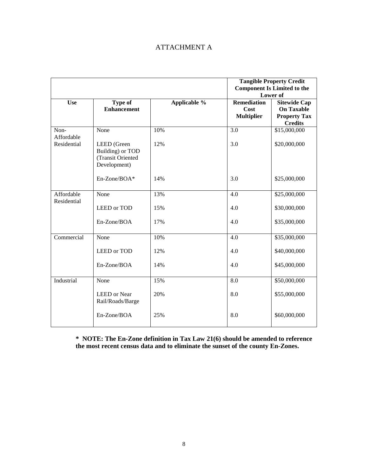## ATTACHMENT A

|                                   |                                                                      |              | <b>Tangible Property Credit</b><br><b>Component Is Limited to the</b><br>Lower of |                                                                                   |
|-----------------------------------|----------------------------------------------------------------------|--------------|-----------------------------------------------------------------------------------|-----------------------------------------------------------------------------------|
| <b>Use</b>                        | <b>Type of</b><br><b>Enhancement</b>                                 | Applicable % | <b>Remediation</b><br>Cost<br><b>Multiplier</b>                                   | <b>Sitewide Cap</b><br><b>On Taxable</b><br><b>Property Tax</b><br><b>Credits</b> |
| Non-<br>Affordable<br>Residential | None                                                                 | 10%          | 3.0                                                                               | \$15,000,000                                                                      |
|                                   | LEED (Green<br>Building) or TOD<br>(Transit Oriented<br>Development) | 12%          | 3.0                                                                               | \$20,000,000                                                                      |
|                                   | En-Zone/BOA*                                                         | 14%          | 3.0                                                                               | \$25,000,000                                                                      |
| Affordable<br>Residential         | None                                                                 | 13%          | 4.0                                                                               | \$25,000,000                                                                      |
|                                   | LEED or TOD                                                          | 15%          | 4.0                                                                               | \$30,000,000                                                                      |
|                                   | En-Zone/BOA                                                          | 17%          | 4.0                                                                               | \$35,000,000                                                                      |
| Commercial                        | None                                                                 | 10%          | 4.0                                                                               | \$35,000,000                                                                      |
|                                   | <b>LEED</b> or TOD                                                   | 12%          | 4.0                                                                               | \$40,000,000                                                                      |
|                                   | En-Zone/BOA                                                          | 14%          | 4.0                                                                               | \$45,000,000                                                                      |
| Industrial                        | None                                                                 | 15%          | 8.0                                                                               | \$50,000,000                                                                      |
|                                   | <b>LEED</b> or Near<br>Rail/Roads/Barge                              | 20%          | 8.0                                                                               | \$55,000,000                                                                      |
|                                   | En-Zone/BOA                                                          | 25%          | 8.0                                                                               | \$60,000,000                                                                      |

**\* NOTE: The En-Zone definition in Tax Law 21(6) should be amended to reference the most recent census data and to eliminate the sunset of the county En-Zones.**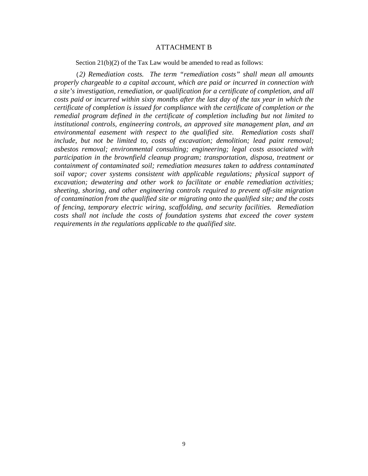#### ATTACHMENT B

Section 21(b)(2) of the Tax Law would be amended to read as follows:

(*2) Remediation costs. The term "remediation costs" shall mean all amounts properly chargeable to a capital account, which are paid or incurred in connection with a site's investigation, remediation, or qualification for a certificate of completion, and all costs paid or incurred within sixty months after the last day of the tax year in which the certificate of completion is issued for compliance with the certificate of completion or the remedial program defined in the certificate of completion including but not limited to institutional controls, engineering controls, an approved site management plan, and an environmental easement with respect to the qualified site. Remediation costs shall include, but not be limited to, costs of excavation; demolition; lead paint removal; asbestos removal; environmental consulting; engineering; legal costs associated with participation in the brownfield cleanup program; transportation, disposa, treatment or containment of contaminated soil; remediation measures taken to address contaminated soil vapor; cover systems consistent with applicable regulations; physical support of excavation; dewatering and other work to facilitate or enable remediation activities; sheeting, shoring, and other engineering controls required to prevent off-site migration of contamination from the qualified site or migrating onto the qualified site; and the costs of fencing, temporary electric wiring, scaffolding, and security facilities. Remediation costs shall not include the costs of foundation systems that exceed the cover system requirements in the regulations applicable to the qualified site.*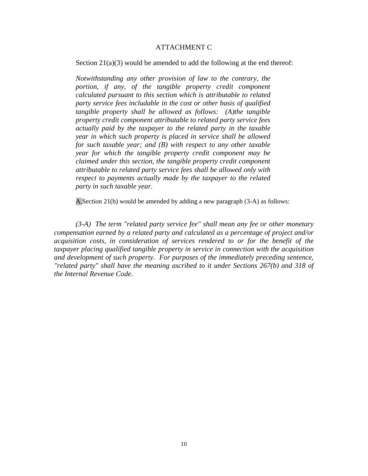#### ATTACHMENT C

Section 21(a)(3) would be amended to add the following at the end thereof:

*Notwithstanding any other provision of law to the contrary, the portion, if any, of the tangible property credit component calculated pursuant to this section which is attributable to related party service fees includable in the cost or other basis of qualified tangible property shall be allowed as follows: (A)the tangible property credit component attributable to related party service fees actually paid by the taxpayer to the related party in the taxable year in which such property is placed in service shall be allowed for such taxable year; and (B) with respect to any other taxable year for which the tangible property credit component may be claimed under this section, the tangible property credit component attributable to related party service fees shall be allowed only with respect to payments actually made by the taxpayer to the related party in such taxable year.* 

A.Section 21(b) would be amended by adding a new paragraph (3-A) as follows:

*(3-A) The term "related party service fee" shall mean any fee or other monetary compensation earned by a related party and calculated as a percentage of project and/or acquisition costs, in consideration of services rendered to or for the benefit of the taxpayer placing qualified tangible property in service in connection with the acquisition and development of such property. For purposes of the immediately preceding sentence, "related party" shall have the meaning ascribed to it under Sections 267(b) and 318 of the Internal Revenue Code.*